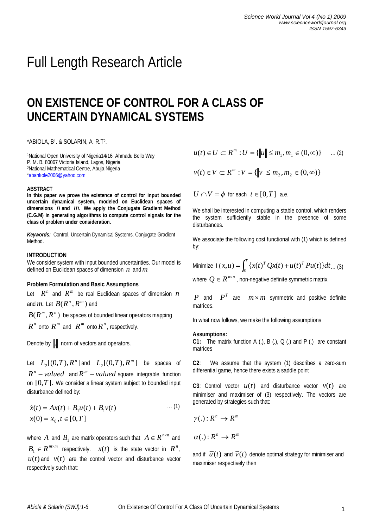# Full Length Research Article

# **ON EXISTENCE OF CONTROL FOR A CLASS OF UNCERTAIN DYNAMICAL SYSTEMS**

\*ABIOLA, B<sup>1</sup> . & SOLARIN, A. R.T<sup>2</sup> .

<sup>1</sup>National Open University of Nigeria14/16 Ahmadu Bello Way P. M. B. 80067 Victoria Island, Lagos, Nigeria <sup>2</sup>National Mathematical Centre, Abuja Nigeria \*abankole2006@yahoo.com

### **ABSTRACT**

**In this paper we prove the existence of control for input bounded uncertain dynamical system, modeled on Euclidean spaces of dimensions** *n* **and** *m*. **We apply the Conjugate Gradient Method (C.G.M) in generating algorithms to compute control signals for the class of problem under consideration.**

*Keywords:*Control, Uncertain Dynamical Systems, Conjugate Gradient Method.

# **INTRODUCTION**

We consider system with input bounded uncertainties. Our model is defined on Euclidean spaces of dimension *n* and*m*

## **Problem Formulation and Basic Assumptions**

Let  $R^n$  and  $R^m$  be real Euclidean spaces of dimension *n* and  $m$ . Let  $B(R^n, R^m)$  and

 $B(R^m, R^n)$  be spaces of bounded linear operators mapping

 $R^n$  onto  $R^m$  and  $R^m$  onto  $R^n$ , respectively.

Denote by  $\|.\|$  norm of vectors and operators.

Let  $L_2[(0,T), R^n]$  $L_2$  [(0,*T*),  $R^n$  ] and  $L_2$  [(0,*T*),  $R^m$  ]  $L_2$ [(0,*T*),  $R^m$ ] be spaces of  $R^n$  – *valued* and  $R^m$  – *valued* square integrable function on [0,*T*]. We consider a linear system subject to bounded input disturbance defined by:

$$
\dot{x}(t) = Ax(t) + B_1 u(t) + B_1 v(t) \qquad \dots (1)
$$
  

$$
x(0) = x_0, t \in [0, T]
$$

where  $A$  and  $B_1$  are matrix operators such that  $A \in R^{n \times n}$  and  $B_1 \in R^{m \times m}$  respectively.  $x(t)$  is the state vector in  $R^n$ ,  $u(t)$  and  $v(t)$  are the control vector and disturbance vector respectively such that:

$$
u(t) \in U \subset R^m : U = \{ \|u\| \le m_1, m_1 \in (0, \infty) \} \quad \dots (2)
$$

 $v(t) \in V \subset R^m : V = \{ ||v|| \le m_2, m_2 \in (0, \infty) \}$ 

 $U \cap V = \phi$  for each  $t \in [0, T]$  a.e.

We shall be interested in computing a stable control, which renders the system sufficiently stable in the presence of some disturbances.

We associate the following cost functional with (1) which is defined by:

Minimize 
$$
|(x, u) = \int_0^T \{x(t)^T Qx(t) + u(t)^T P u(t)\} dt
$$
 ... (3)

where  $Q \in R^{\frac{n \times n}{n}}$  , non-negative definite symmetric matrix.

*P* and  $P<sup>T</sup>$  are  $m \times m$  symmetric and positive definite matrices.

In what now follows, we make the following assumptions

# **Assumptions:**

**C1:** The matrix function A (.), B (.), Q (.) and P (.) are constant matrices

**C2**: We assume that the system (1) describes a zero-sum differential game, hence there exists a saddle point

**C3**: Control vector  $u(t)$  and disturbance vector  $v(t)$  are minimiser and maximiser of (3) respectively. The vectors are generated by strategies such that:

$$
\gamma(.): R^n \to R^m
$$

 $\alpha(.)$  :  $R^n \rightarrow R^m$ 

and if  $\bar{u}(t)$  and  $\bar{v}(t)$  denote optimal strategy for minimiser and maximiser respectively then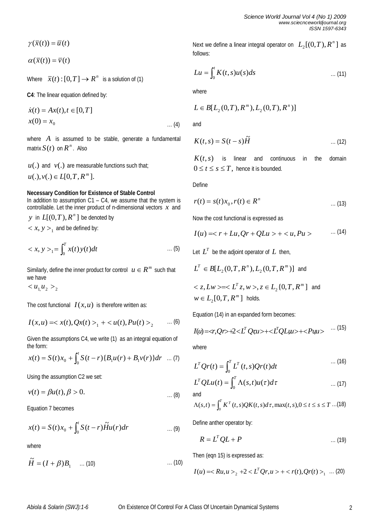$$
\gamma(\overline{x}(t)) = \overline{u}(t)
$$

 $\alpha(\bar{x}(t)) = \bar{v}(t)$ 

Where  $\bar{x}(t):[0,T] \to R^n$  is a solution of (1)

**C4**: The linear equation defined by:

$$
\dot{x}(t) = Ax(t), t \in [0, T]
$$
  

$$
x(0) = x_0 \qquad \dots (4)
$$

where A is assumed to be stable, generate a fundamental matrix  $S(t)$  on  $R^n$ . Also

 $u(.)$  and  $v(.)$  are measurable functions such that;

 $u(.)$ ,  $v(.) \in L[0, T, R^m].$ 

# **Necessary Condition for Existence of Stable Control**

In addition to assumption C1 – C4, we assume that the system is controllable. Let the inner product of n-dimensional vectors *x* and

*y* in  $L[(0, T), R^n]$  be denoted by

 $x, y > 1$  and be defined by:

$$
\langle x, y \rangle_1 = \int_0^T x(t) y(t) dt \qquad \qquad \dots (5)
$$

Similarly, define the inner product for control  $u \in R^m$  such that we have

 $2$ </u>

The cost functional  $I(x, u)$  is therefore written as:

$$
I(x, u) = \langle x(t), Qx(t) \rangle_1 + \langle u(t), Pu(t) \rangle_2 \qquad \dots (6)
$$

Given the assumptions C4, we write (1) as an integral equation of the form:

$$
x(t) = S(t)x_0 + \int_0^t S(t-r) \{B_1 u(r) + B_1 v(r)\} dr \dots (7)
$$

Using the assumption C2 we set:

$$
v(t) = \beta u(t), \beta > 0.
$$

Equation 7 becomes

$$
x(t) = S(t)x_0 + \int_0^t S(t-r)\widetilde{H}u(r)dr \qquad \qquad \dots (9)
$$

where

$$
\widetilde{H} = (I + \beta)B_1 \quad \dots (10) \quad \dots (10)
$$

Next we define a linear integral operator on  $\ L_2\llbracket (0, T), R\degree\rrbracket$  $L_2$ [ $(0,T)$ , $R^n$ ] as follows:

$$
Lu = \int_0^t K(t,s)u(s)ds \qquad \qquad \dots (11)
$$

where

$$
L \in B[L_2(0,T), R^m), L_2(0,T), R^n)]
$$

and

$$
K(t,s) = S(t-s)\widetilde{H}
$$
 ... (12)

 $K(t, s)$  is linear and continuous in the domain  $0 \le t \le s \le T$ , hence it is bounded.

Define

$$
r(t) = s(t)x_0, r(t) \in R^n
$$
 ... (13)

Now the cost functional is expressed as

$$
I(u) =  +
$$
 ... (14)

Let  $L^T$  be the adjoint operator of  $L$  then,

 $L^T \in B[L_2(0, T, R^n), L_2(0, T, R^m)]$  and

$$
\langle z, Lw \rangle = \langle L^T z, w \rangle, z \in L_2\{0, T, R^m\} \text{ and}
$$
  

$$
w \in L_2[0, T, R^m] \text{ holds.}
$$

Equation (14) in an expanded form becomes:

$$
I(u) = \langle r, Qr \rangle + 2 \langle L^T Qr u \rangle + \langle L^T QL u \rangle + \langle P u u \rangle \quad \cdots (15)
$$

where

$$
L^T Qr(t) = \int_0^T L^T(t, s) Qr(t) dt \qquad \qquad \dots (16)
$$

$$
L^T Q L u(t) = \int_0^T \Lambda(s, t) u(\tau) d\tau \qquad \qquad \dots (17)
$$

$$
\Lambda(s,t) = \int_0^T K^T(t,s)QK(t,s)d\tau, \max(t,s), 0 \le t \le s \le T \dots (18)
$$

Define anther operator by:

$$
R = L^T Q L + P \tag{19}
$$

Then (eqn 15) is expressed as:

$$
I(u) = _{2} + 2 < L^{T}Qr, u> + _{1} ... (20)
$$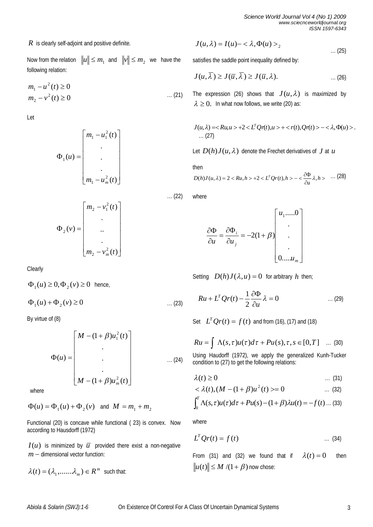*R* is clearly self-adjoint and positive definite.

Now from the relation and  $\|v\| \le m_2$  we have the following relation:

$$
m_1 - u^2(t) \ge 0
$$
  
\n
$$
m_2 - v^2(t) \ge 0
$$
 ... (21)

Let

$$
\Phi_1(u) = \begin{bmatrix} m_1 - u_1^2(t) \\ \cdot \\ \cdot \\ \cdot \\ \cdot \\ m_1 - u_m^2(t) \end{bmatrix}
$$

$$
\Phi_2(v) = \begin{bmatrix} m_2 - v_1^2(t) \\ \vdots \\ \vdots \\ \vdots \\ m_2 - v_m^2(t) \end{bmatrix}
$$

Clearly

 $\Phi_1(u) \geq 0, \Phi_2(v) \geq 0$  hence,

… (23)  $\Phi_1(u) + \Phi_2(v) \ge 0$ 

By virtue of (8)

$$
\Phi(u) = \begin{bmatrix} M - (1 + \beta)u_1^2(t) \\ \cdot \\ \cdot \\ \cdot \\ \cdot \\ M - (1 + \beta)u_m^2(t) \end{bmatrix}
$$
 ... (24)

where

$$
\Phi(u) = \Phi_1(u) + \Phi_2(v)
$$
 and  $M = m_1 + m_2$ 

Functional (20) is concave while functional ( 23) is convex. Now according to Hausdorff (1972)

 $I(u)$  is minimized by  $\overline{u}$  provided there exist a non-negative  $m -$  dimensional vector function:

$$
\lambda(t) = (\lambda_1, \dots, \lambda_m) \in R^m \text{ such that:}
$$

$$
J(u, \lambda) = I(u) - \langle \lambda, \Phi(u) \rangle_2
$$
 ... (25)

satisfies the saddle point inequality defined by:

$$
J(u,\overline{\lambda}) \ge J(\overline{u},\overline{\lambda}) \ge J(\overline{u},\lambda).
$$
 (26)

The expression (26) shows that  $J(u, \lambda)$  is maximized by  $\lambda \geq 0$ . In what now follows, we write (20) as:

$$
J(u, \lambda) = R u, u > +2 < L^T Q r(t), u > + < r(t), Q r(t) > - <\lambda, \Phi(u) > .
$$
  
... (27)

Let  $D(h)J(u, \lambda)$  denote the Frechet derivatives of J at u

then

$$
D(h)J(u,\lambda) = 2 < Ru, h > +2 < L^T Qr(t), h > -\n \langle \frac{\partial \Phi}{\partial u} \lambda, h > \dots \rangle \tag{28}
$$

… (22) where

$$
\frac{\partial \Phi}{\partial u} = \frac{\partial \Phi_i}{\partial u_j} = -2(1+\beta) \begin{bmatrix} u_1.....0 \\ . \\ . \\ . \\ 0....u_m \end{bmatrix}
$$

Setting  $D(h)J(\lambda,u) = 0$  for arbitrary *h* then;

$$
Ru + L^T Qr(t) - \frac{1}{2} \frac{\partial \Phi}{\partial u} \lambda = 0 \qquad \qquad \dots (29)
$$

Set  $L^T Qr(t) = f(t)$  and from (16), (17) and (18)

$$
Ru = \int \Lambda(s,\tau)u(\tau)d\tau + Pu(s), \tau, s \in [0,T] \quad ... \tag{30}
$$

Using Haudorff (1972), we apply the generalized Kunh-Tucker condition to (27) to get the following relations:

$$
\lambda(t) \geq 0 \tag{31}
$$

$$
\langle \lambda(t), (M - (1 + \beta)u^2(t)) \rangle = 0 \qquad \qquad \dots \tag{32}
$$

$$
\int_0^T \Lambda(s,\tau)u(\tau)d\tau + Pu(s) - (1+\beta)\lambda u(t) = -f(t) \dots (33)
$$

where

$$
L^T Q r(t) = f(t) \tag{34}
$$

From (31) and (32) we found that if  $\lambda(t) = 0$  then  $\|u(t)\| \leq M/(1+\beta)$  now chose: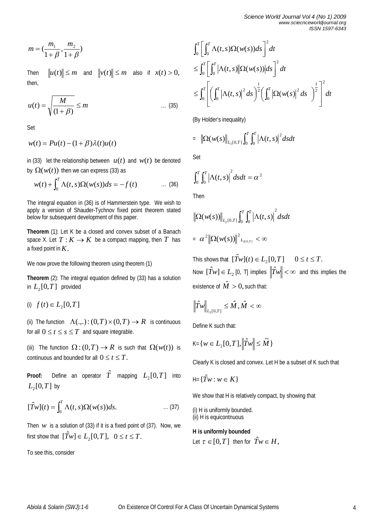$$
m = \left(\frac{m_1}{1+\beta}, \frac{m_2}{1+\beta}\right)
$$

Then  $||u(t)|| \le m$  and  $||v(t)|| \le m$  also if  $x(t) > 0$ , then,

$$
u(t) = \sqrt{\frac{M}{(1+\beta)}} \le m \qquad \qquad \dots \tag{35}
$$

Set

$$
w(t) = Pu(t) - (1 + \beta)\lambda(t)u(t)
$$

in (33) let the relationship between  $u(t)$  and  $w(t)$  be denoted by  $\Omega(w(t))$  then we can express (33) as

$$
w(t) + \int_0^T \Lambda(t, s) \Omega(w(s)) ds = -f(t) \qquad \qquad \dots \tag{36}
$$

The integral equation in (36) is of Hammerstein type. We wish to apply a version of Shauder-Tychnov fixed point theorem stated below for subsequent development of this paper.

**Theorem** (1): Let K be a closed and convex subset of a Banach space X. Let  $T: K \to K$  be a compact mapping, then  $T$  has a fixed point in*K*.

We now prove the following theorem using theorem (1)

**Theorem** (2): The integral equation defined by (33) has a solution in  $L_2[0, T]$  provided

(i)  $f(t) \in L_2[0, T]$ 

(ii) The function  $\Lambda(.,.): (0,T) \times (0,T) \to R$  is continuous for all  $0 \le t \le s \le T$  and square integrable.

(iii) The function  $\Omega: (0,T) \to R$  is such that  $\Omega(w(t))$  is continuous and bounded for all  $0 \le t \le T$ .

**Proof:** Define an operator  $\hat{T}$  mapping  $L_2[0,T]$  into  $L_2[0, T]$  by

$$
[\hat{T}w](t) = \int_0^T \Lambda(t,s)\Omega(w(s))ds.
$$
 ... (37)

Then  $w$  is a solution of (33) if it is a fixed point of (37). Now, we first show that  $[\hat{T}w] \in L_2[0,T], \ \ 0 \le t \le T.$ 

To see this, consider

$$
\int_0^T \left[ \int_0^T \Lambda(t,s) \Omega(w(s)) ds \right]^2 dt
$$
  
\n
$$
\leq \int_0^T \left[ \int_0^T \left| \Lambda(t,s) \left| \Omega(w(s)) \right| ds \right|^2 dt
$$
  
\n
$$
\leq \int_0^T \left[ \left( \int_0^T \left| \Lambda(t,s) \right|^2 ds \right)^{\frac{1}{2}} \left( \int_0^T \left| \Omega(w(s) \right|^2 ds \right)^{\frac{1}{2}} \right]^2 dt
$$

(By Holder's inequality)

$$
= \left\| \Omega(w(s) \right\|_{L_2[0,T]} \int_0^T \int_0^T \left| \Lambda(t,s) \right|^2 ds dt
$$

Set

$$
\int_0^T \int_0^T \left| \Lambda(t,s) \right|^2 ds dt = \alpha^2
$$

Then

$$
\|\Omega(w(s))\|_{L_2[0,T]}\int_0^T\int_0^T \left|\Lambda(t,s)\right|^2 dsdt
$$
  
=  $\alpha^2 \|\Omega(w(s))\|^2_{L_{2[0,T]}} < \infty$ 

This shows that  $[\hat{Tw}](t) \in L_2[0, T]$   $0 \le t \le T$ . Now  $[\hat T w] \in L_2$  [0, T] implies  $\left\| \hat T w \right\| < \infty$  and this implies the existence of  $\hat{M} > 0$ , such that:

$$
\left\|\hat{T}w\right\|_{L_2[0,T]} \leq \hat{M}, \hat{M} < \infty
$$

Define K such that:

$$
\mathsf{K}\text{=}\{w\in L_2[0,T], \left\|\hat{T}w\right\|\leq \widetilde{M}\}
$$

Clearly K is closed and convex. Let H be a subset of K such that

$$
\mathsf{H} = \{\hat{T}w : w \in K\}
$$

We show that H is relatively compact, by showing that

(i) H is uniformly bounded. (ii) H is equicontnuous

# **H is uniformly bounded**

Let  $\tau \in [0,T]$  then for  $\hat{T}_W \in H$ ,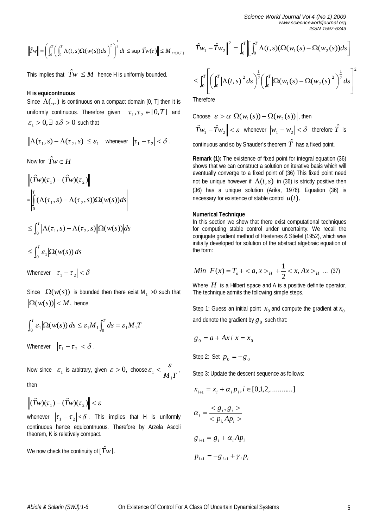*Science World Journal Vol 4 (No 1) 2009 www.sciecnceworldjournal.org ISSN 1597-6343*

$$
\left\|\hat{T}w\right\| = \left(\int_0^T \left(\int_0^T \Lambda(t,s)\Omega(w(s))ds\right)^2\right)^{\frac{1}{2}}dt \leq \sup\left\|\hat{T}w(\tau)\right\| \leq M_{\tau \in [0,T]}
$$

This implies that  $\left\Vert \hat{T}w\right\Vert \leq M$  hence H is uniformly bounded.

# **H is equicontnuous**

Since  $\Lambda$ (...) is continuous on a compact domain [0, T] then it is uniformly continuous. Therefore given  $\tau_1, \tau_2 \in [0, T]$  and  $\varepsilon_1 > 0$ ,  $\exists a \delta > 0$  such that

$$
\left\|\Lambda(\tau_1,s)-\Lambda(\tau_2,s)\right\|\leq \varepsilon_1\quad\text{whenever}\quad \left|\tau_1-\tau_2\right|<\delta\;.
$$

Now for  $\hat{T}w \in H$ 

$$
\begin{aligned} & \left\| (\hat{T}w)(\tau_1) - (\hat{T}w)(\tau_2) \right\| \\ &= \left| \int_0^T (\Lambda(\tau_1, s) - \Lambda(\tau_2, s)) \Omega(w(s)) ds \right| \\ & \le \int_0^T \left| \Lambda(\tau_1, s) - \Lambda(\tau_2, s) \right| \Omega(w(s)) ds \\ & \le \int_0^T \varepsilon_1 \left| \Omega(w(s)) \right| ds \end{aligned}
$$

Whenever  $|\tau_1 - \tau_2| < \delta$ 

Since  $\Omega(w(s))$  is bounded then there exist M<sub>1</sub> >0 such that  $|\Omega(w(s))|$  < M<sub>1</sub> hence

$$
\int_0^T \mathcal{E}_1 |\Omega(w(s))| ds \leq \mathcal{E}_1 M_1 \int_0^T ds = \mathcal{E}_1 M_1 T
$$

Whenever  $|\tau_1 - \tau_2| < \delta$ .

Now since  $\mathcal{E}_1$  is arbitrary, given  $\mathcal{E} > 0$ , choose  $M_1$ <sup>T</sup>  $\mathcal{E}_1 < \frac{\mathcal{E}}{1-\mathcal{E}}$ 

then

$$
\left\|(\hat{T}w)(\tau_1)-(\hat{T}w)(\tau_2)\right\|<\varepsilon
$$

whenever  $|\tau_1 - \tau_2| < \delta$  . This implies that H is uniformly continuous hence equicontnuous. Therefore by Arzela Ascoli theorem, K is relatively compact.

We now check the continuity of  $[\hat{T}w]$ .

$$
\left|\hat{T}w_1 - \hat{T}w_2\right|^2 = \int_0^T \left[\int_0^T \Lambda(t,s)(\Omega(w_1(s) - \Omega(w_2(s))ds)\right]
$$

$$
\leq \int_0^T \left[ \left( \int_0^T \left| \Lambda(t,s) \right|^2 ds \right)^{\frac{1}{2}} \left( \int_0^T \left| \Omega(w_1(s) - \Omega(w_2(s)) \right|^2 \right)^{\frac{1}{2}} ds \right]^2
$$

**Therefore** 

Choose 
$$
\varepsilon > \alpha \|\Omega(w_1(s)) - \Omega(w_2(s))\|
$$
, then  
\n $\|\hat{T}w_1 - \hat{T}w_2\| < \varepsilon$  whenever  $|w_1 - w_2| < \delta$  therefore  $\hat{T}$  is

continuous and so by Shauder's theorem  $\hat{T}$  has a fixed point.

**Remark (1):** The existence of fixed point for integral equation (36) shows that we can construct a solution on iterative basis which will eventually converge to a fixed point of (36) This fixed point need not be unique however if  $\Lambda(t,s)$  in (36) is strictly positive then (36) has a unique solution (Arika, 1976). Equation (36) is necessary for existence of stable control *u*(*t*).

# **Numerical Technique**

In this section we show that there exist computational techniques for computing stable control under uncertainty. We recall the conjugate gradient method of Hestenes & Stiefel (1952), which was initially developed for solution of the abstract algebraic equation of the form:

Min 
$$
F(x) = T_o + \langle a, x \rangle_H + \frac{1}{2} \langle x, Ax \rangle_H
$$
 ... (37)

Where *H* is a Hilbert space and A is a positive definite operator. The technique admits the following simple steps.

Step 1: Guess an initial point  $x_0$  and compute the gradient at  $x_0$ and denote the gradient by  $g_{\,0}\,$  such that:

$$
g_0 = a + Ax / x = x_0
$$

Step 2: Set  $p_0 = -g_0$ 

Step 3: Update the descent sequence as follows:

$$
x_{i+1} = x_i + \alpha_i p_i, i \in [0,1,2, \dots, \dots,]
$$
  
\n
$$
\alpha_i = \frac{< g_i, g_i >}{< p_i, Ap_i >}
$$
  
\n
$$
g_{i+1} = g_i + \alpha_i Ap_i
$$
  
\n
$$
p_{i+1} = -g_{i+1} + \gamma_i p_i
$$